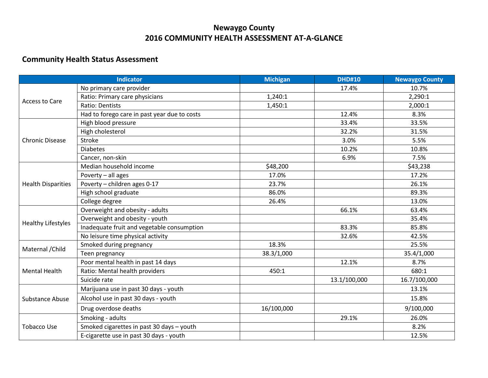## **Newaygo County 2016 COMMUNITY HEALTH ASSESSMENT AT-A-GLANCE**

## **Community Health Status Assessment**

| <b>Indicator</b>          |                                              | <b>Michigan</b> | <b>DHD#10</b> | <b>Newaygo County</b> |
|---------------------------|----------------------------------------------|-----------------|---------------|-----------------------|
| Access to Care            | No primary care provider                     |                 | 17.4%         | 10.7%                 |
|                           | Ratio: Primary care physicians               | 1,240:1         |               | 2,290:1               |
|                           | Ratio: Dentists                              | 1,450:1         |               | 2,000:1               |
|                           | Had to forego care in past year due to costs |                 | 12.4%         | 8.3%                  |
| <b>Chronic Disease</b>    | High blood pressure                          |                 | 33.4%         | 33.5%                 |
|                           | High cholesterol                             |                 | 32.2%         | 31.5%                 |
|                           | <b>Stroke</b>                                |                 | 3.0%          | 5.5%                  |
|                           | <b>Diabetes</b>                              |                 | 10.2%         | 10.8%                 |
|                           | Cancer, non-skin                             |                 | 6.9%          | 7.5%                  |
|                           | Median household income                      | \$48,200        |               | \$43,238              |
|                           | Poverty - all ages                           | 17.0%           |               | 17.2%                 |
| <b>Health Disparities</b> | Poverty - children ages 0-17                 | 23.7%           |               | 26.1%                 |
|                           | High school graduate                         | 86.0%           |               | 89.3%                 |
|                           | College degree                               | 26.4%           |               | 13.0%                 |
|                           | Overweight and obesity - adults              |                 | 66.1%         | 63.4%                 |
| <b>Healthy Lifestyles</b> | Overweight and obesity - youth               |                 |               | 35.4%                 |
|                           | Inadequate fruit and vegetable consumption   |                 | 83.3%         | 85.8%                 |
|                           | No leisure time physical activity            |                 | 32.6%         | 42.5%                 |
| Maternal / Child          | Smoked during pregnancy                      | 18.3%           |               | 25.5%                 |
|                           | Teen pregnancy                               | 38.3/1,000      |               | 35.4/1,000            |
| <b>Mental Health</b>      | Poor mental health in past 14 days           |                 | 12.1%         | 8.7%                  |
|                           | Ratio: Mental health providers               | 450:1           |               | 680:1                 |
|                           | Suicide rate                                 |                 | 13.1/100,000  | 16.7/100,000          |
| <b>Substance Abuse</b>    | Marijuana use in past 30 days - youth        |                 |               | 13.1%                 |
|                           | Alcohol use in past 30 days - youth          |                 |               | 15.8%                 |
|                           | Drug overdose deaths                         | 16/100,000      |               | 9/100,000             |
| <b>Tobacco Use</b>        | Smoking - adults                             |                 | 29.1%         | 26.0%                 |
|                           | Smoked cigarettes in past 30 days - youth    |                 |               | 8.2%                  |
|                           | E-cigarette use in past 30 days - youth      |                 |               | 12.5%                 |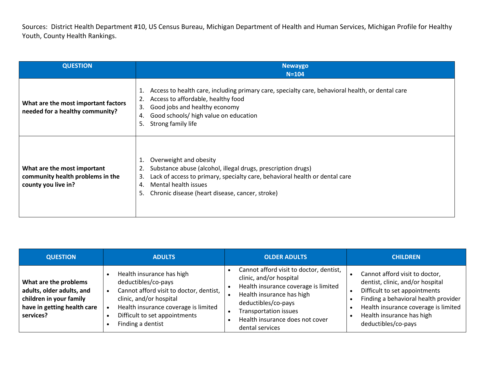Sources: District Health Department #10, US Census Bureau, Michigan Department of Health and Human Services, Michigan Profile for Healthy Youth, County Health Rankings.

| <b>QUESTION</b>                                                                        | <b>Newaygo</b><br>$N = 104$                                                                                                                                                                                                                                          |
|----------------------------------------------------------------------------------------|----------------------------------------------------------------------------------------------------------------------------------------------------------------------------------------------------------------------------------------------------------------------|
| What are the most important factors<br>needed for a healthy community?                 | Access to health care, including primary care, specialty care, behavioral health, or dental care<br>1.<br>Access to affordable, healthy food<br>2.<br>Good jobs and healthy economy<br>3.<br>Good schools/ high value on education<br>4.<br>Strong family life<br>5. |
| What are the most important<br>community health problems in the<br>county you live in? | Overweight and obesity<br>Substance abuse (alcohol, illegal drugs, prescription drugs)<br>Lack of access to primary, specialty care, behavioral health or dental care<br>3.<br>Mental health issues<br>4.<br>Chronic disease (heart disease, cancer, stroke)<br>5.   |

| <b>QUESTION</b>                                                                                                           | <b>ADULTS</b>                                                                                                                                                                                                        | <b>OLDER ADULTS</b>                                                                                                                                                                                                                           | <b>CHILDREN</b>                                                                                                                                                                                                                         |
|---------------------------------------------------------------------------------------------------------------------------|----------------------------------------------------------------------------------------------------------------------------------------------------------------------------------------------------------------------|-----------------------------------------------------------------------------------------------------------------------------------------------------------------------------------------------------------------------------------------------|-----------------------------------------------------------------------------------------------------------------------------------------------------------------------------------------------------------------------------------------|
| What are the problems<br>adults, older adults, and<br>children in your family<br>have in getting health care<br>services? | Health insurance has high<br>deductibles/co-pays<br>Cannot afford visit to doctor, dentist,<br>clinic, and/or hospital<br>Health insurance coverage is limited<br>Difficult to set appointments<br>Finding a dentist | Cannot afford visit to doctor, dentist,<br>clinic, and/or hospital<br>Health insurance coverage is limited<br>Health insurance has high<br>deductibles/co-pays<br>Transportation issues<br>Health insurance does not cover<br>dental services | Cannot afford visit to doctor,<br>dentist, clinic, and/or hospital<br>Difficult to set appointments<br>Finding a behavioral health provider<br>Health insurance coverage is limited<br>Health insurance has high<br>deductibles/co-pays |